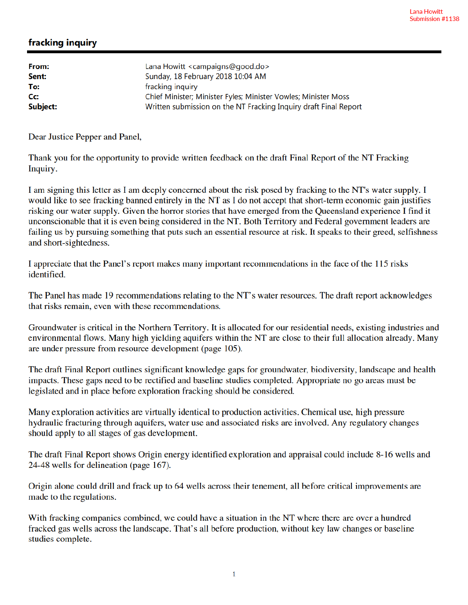## fracking inquiry

| From:            | Lana Howitt <campaigns@good.do></campaigns@good.do>              |
|------------------|------------------------------------------------------------------|
| Sent:            | Sunday, 18 February 2018 10:04 AM                                |
| To:              | fracking inquiry                                                 |
| $C_{\mathbf{C}}$ | Chief Minister; Minister Fyles; Minister Vowles; Minister Moss   |
| Subject:         | Written submission on the NT Fracking Inquiry draft Final Report |

Dear Justice Pepper and Panel,

Thank you for the opportunity to provide written feedback on the draft Final Report of the NT Fracking Inquiry.

I am signing this letter as I am deeply concerned about the risk posed by fracking to the NT's water supply. I would like to see fracking banned entirely in the NT as I do not accept that short-term economic gain justifies risking our water supply. Given the horror stories that have emerged from the Queensland experience I find it unconscionable that it is even being considered in the NT. Both Territory and Federal government leaders are failing us by pursuing something that puts such an essential resource at risk. It speaks to their greed, selfishness and short-sightedness.

I appreciate that the Panel's report makes many important recommendations in the face of the 115 risks identified.

The Panel has made 19 recommendations relating to the NT's water resources. The draft report acknowledges that risks remain, even with these recommendations.

Groundwater is critical in the Northern Territory. It is allocated for our residential needs, existing industries and environmental flows. Many high yielding aquifers within the NT are close to their full allocation already. Many are under pressure from resource development (page 105).

The draft Final Report outlines significant knowledge gaps for groundwater, biodiversity, landscape and health impacts. These gaps need to be rectified and baseline studies completed. Appropriate no go areas must be legislated and in place before exploration fracking should be considered.

Many exploration activities are virtually identical to production activities. Chemical use, high pressure hydraulic fracturing through aquifers, water use and associated risks are involved. Any regulatory changes should apply to all stages of gas development.

The draft Final Report shows Origin energy identified exploration and appraisal could include 8-16 wells and 24-48 wells for delineation (page 167).

Origin alone could drill and frack up to 64 wells across their tenement, all before critical improvements are made to the regulations.

With fracking companies combined, we could have a situation in the NT where there are over a hundred fracked gas wells across the landscape. That's all before production, without key law changes or baseline studies complete.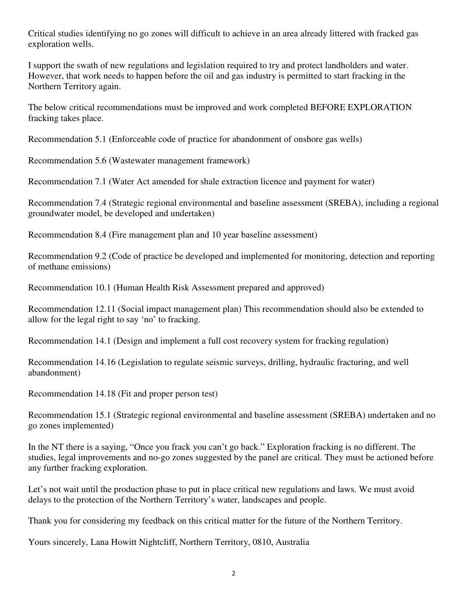Critical studies identifying no go zones will difficult to achieve in an area already littered with fracked gas exploration wells.

I support the swath of new regulations and legislation required to try and protect landholders and water. However, that work needs to happen before the oil and gas industry is permitted to start fracking in the Northern Territory again.

The below critical recommendations must be improved and work completed BEFORE EXPLORATION fracking takes place.

Recommendation 5.1 (Enforceable code of practice for abandonment of onshore gas wells)

Recommendation 5.6 (Wastewater management framework)

Recommendation 7.1 (Water Act amended for shale extraction licence and payment for water)

Recommendation 7.4 (Strategic regional environmental and baseline assessment (SREBA), including a regional groundwater model, be developed and undertaken)

Recommendation 8.4 (Fire management plan and 10 year baseline assessment)

Recommendation 9.2 (Code of practice be developed and implemented for monitoring, detection and reporting of methane emissions)

Recommendation 10.1 (Human Health Risk Assessment prepared and approved)

Recommendation 12.11 (Social impact management plan) This recommendation should also be extended to allow for the legal right to say 'no' to fracking.

Recommendation 14.1 (Design and implement a full cost recovery system for fracking regulation)

Recommendation 14.16 (Legislation to regulate seismic surveys, drilling, hydraulic fracturing, and well abandonment)

Recommendation 14.18 (Fit and proper person test)

Recommendation 15.1 (Strategic regional environmental and baseline assessment (SREBA) undertaken and no go zones implemented)

In the NT there is a saying, "Once you frack you can't go back." Exploration fracking is no different. The studies, legal improvements and no-go zones suggested by the panel are critical. They must be actioned before any further fracking exploration.

Let's not wait until the production phase to put in place critical new regulations and laws. We must avoid delays to the protection of the Northern Territory's water, landscapes and people.

Thank you for considering my feedback on this critical matter for the future of the Northern Territory.

Yours sincerely, Lana Howitt Nightcliff, Northern Territory, 0810, Australia